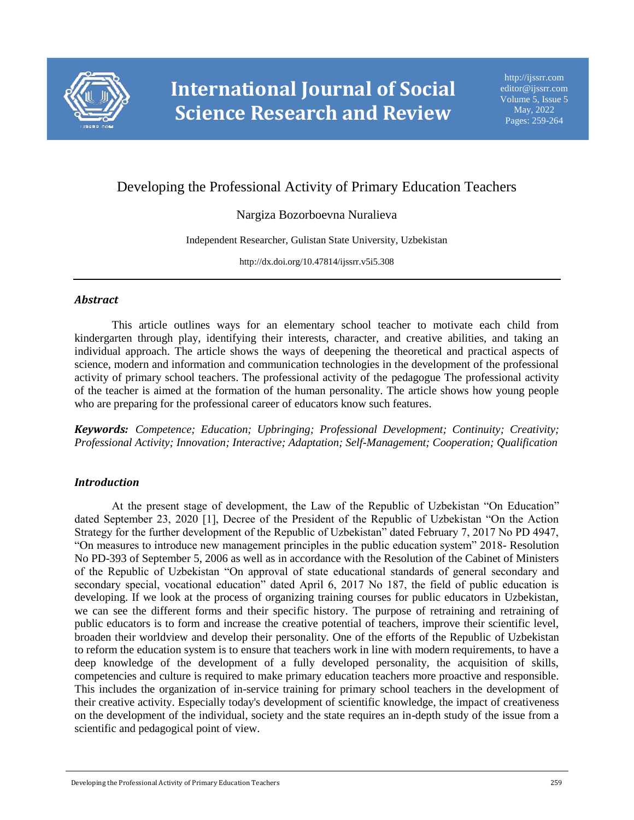

# Developing the Professional Activity of Primary Education Teachers

# Nargiza Bozorboevna Nuralieva

Independent Researcher, Gulistan State University, Uzbekistan

http://dx.doi.org/10.47814/ijssrr.v5i5.308

# *Abstract*

This article outlines ways for an elementary school teacher to motivate each child from kindergarten through play, identifying their interests, character, and creative abilities, and taking an individual approach. The article shows the ways of deepening the theoretical and practical aspects of science, modern and information and communication technologies in the development of the professional activity of primary school teachers. The professional activity of the pedagogue The professional activity of the teacher is aimed at the formation of the human personality. The article shows how young people who are preparing for the professional career of educators know such features.

*Keywords: Competence; Education; Upbringing; Professional Development; Continuity; Creativity; Professional Activity; Innovation; Interactive; Adaptation; Self-Management; Cooperation; Qualification*

# *Introduction*

At the present stage of development, the Law of the Republic of Uzbekistan "On Education" dated September 23, 2020 [1], Decree of the President of the Republic of Uzbekistan "On the Action Strategy for the further development of the Republic of Uzbekistan" dated February 7, 2017 No PD 4947, "On measures to introduce new management principles in the public education system" 2018- Resolution No PD-393 of September 5, 2006 as well as in accordance with the Resolution of the Cabinet of Ministers of the Republic of Uzbekistan "On approval of state educational standards of general secondary and secondary special, vocational education" dated April 6, 2017 No 187, the field of public education is developing. If we look at the process of organizing training courses for public educators in Uzbekistan, we can see the different forms and their specific history. The purpose of retraining and retraining of public educators is to form and increase the creative potential of teachers, improve their scientific level, broaden their worldview and develop their personality. One of the efforts of the Republic of Uzbekistan to reform the education system is to ensure that teachers work in line with modern requirements, to have a deep knowledge of the development of a fully developed personality, the acquisition of skills, competencies and culture is required to make primary education teachers more proactive and responsible. This includes the organization of in-service training for primary school teachers in the development of their creative activity. Especially today's development of scientific knowledge, the impact of creativeness on the development of the individual, society and the state requires an in-depth study of the issue from a scientific and pedagogical point of view.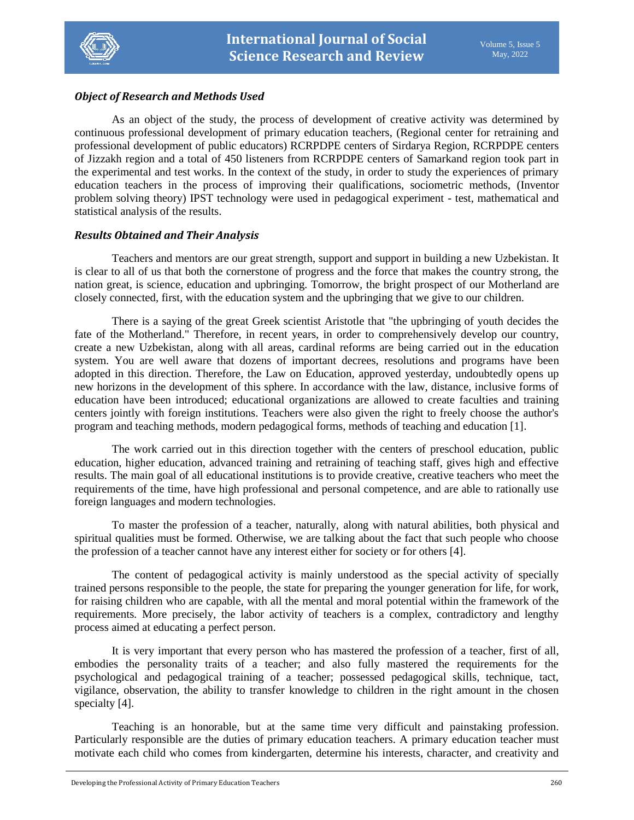

# *Object of Research and Methods Used*

As an object of the study, the process of development of creative activity was determined by continuous professional development of primary education teachers, (Regional center for retraining and professional development of public educators) RCRPDPE centers of Sirdarya Region, RCRPDPE centers of Jizzakh region and a total of 450 listeners from RCRPDPE centers of Samarkand region took part in the experimental and test works. In the context of the study, in order to study the experiences of primary education teachers in the process of improving their qualifications, sociometric methods, (Inventor problem solving theory) IPST technology were used in pedagogical experiment - test, mathematical and statistical analysis of the results.

# *Results Obtained and Their Analysis*

Teachers and mentors are our great strength, support and support in building a new Uzbekistan. It is clear to all of us that both the cornerstone of progress and the force that makes the country strong, the nation great, is science, education and upbringing. Tomorrow, the bright prospect of our Motherland are closely connected, first, with the education system and the upbringing that we give to our children.

There is a saying of the great Greek scientist Aristotle that "the upbringing of youth decides the fate of the Motherland." Therefore, in recent years, in order to comprehensively develop our country, create a new Uzbekistan, along with all areas, cardinal reforms are being carried out in the education system. You are well aware that dozens of important decrees, resolutions and programs have been adopted in this direction. Therefore, the Law on Education, approved yesterday, undoubtedly opens up new horizons in the development of this sphere. In accordance with the law, distance, inclusive forms of education have been introduced; educational organizations are allowed to create faculties and training centers jointly with foreign institutions. Teachers were also given the right to freely choose the author's program and teaching methods, modern pedagogical forms, methods of teaching and education [1].

The work carried out in this direction together with the centers of preschool education, public education, higher education, advanced training and retraining of teaching staff, gives high and effective results. The main goal of all educational institutions is to provide creative, creative teachers who meet the requirements of the time, have high professional and personal competence, and are able to rationally use foreign languages and modern technologies.

To master the profession of a teacher, naturally, along with natural abilities, both physical and spiritual qualities must be formed. Otherwise, we are talking about the fact that such people who choose the profession of a teacher cannot have any interest either for society or for others [4].

The content of pedagogical activity is mainly understood as the special activity of specially trained persons responsible to the people, the state for preparing the younger generation for life, for work, for raising children who are capable, with all the mental and moral potential within the framework of the requirements. More precisely, the labor activity of teachers is a complex, contradictory and lengthy process aimed at educating a perfect person.

It is very important that every person who has mastered the profession of a teacher, first of all, embodies the personality traits of a teacher; and also fully mastered the requirements for the psychological and pedagogical training of a teacher; possessed pedagogical skills, technique, tact, vigilance, observation, the ability to transfer knowledge to children in the right amount in the chosen specialty [4].

Teaching is an honorable, but at the same time very difficult and painstaking profession. Particularly responsible are the duties of primary education teachers. A primary education teacher must motivate each child who comes from kindergarten, determine his interests, character, and creativity and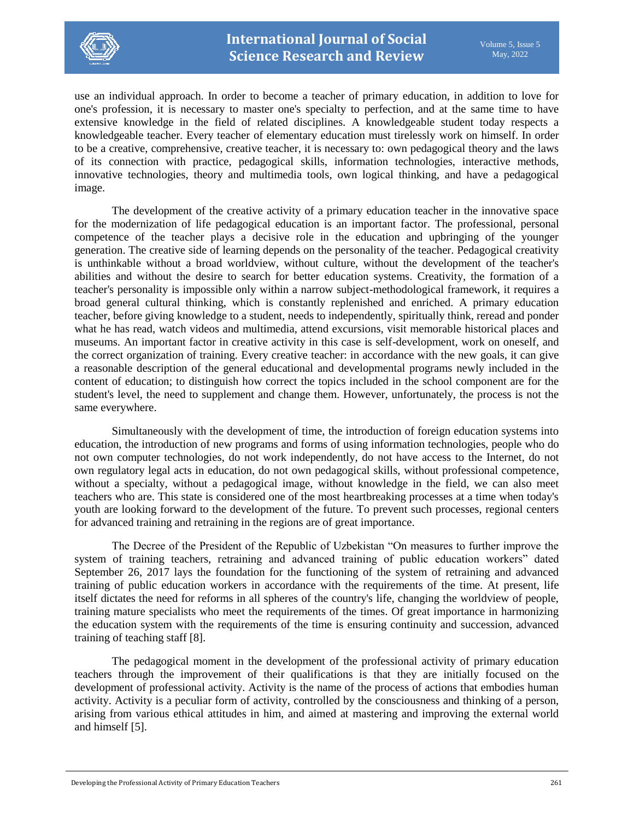

use an individual approach. In order to become a teacher of primary education, in addition to love for one's profession, it is necessary to master one's specialty to perfection, and at the same time to have extensive knowledge in the field of related disciplines. A knowledgeable student today respects a knowledgeable teacher. Every teacher of elementary education must tirelessly work on himself. In order to be a creative, comprehensive, creative teacher, it is necessary to: own pedagogical theory and the laws of its connection with practice, pedagogical skills, information technologies, interactive methods, innovative technologies, theory and multimedia tools, own logical thinking, and have a pedagogical image.

The development of the creative activity of a primary education teacher in the innovative space for the modernization of life pedagogical education is an important factor. The professional, personal competence of the teacher plays a decisive role in the education and upbringing of the younger generation. The creative side of learning depends on the personality of the teacher. Pedagogical creativity is unthinkable without a broad worldview, without culture, without the development of the teacher's abilities and without the desire to search for better education systems. Creativity, the formation of a teacher's personality is impossible only within a narrow subject-methodological framework, it requires a broad general cultural thinking, which is constantly replenished and enriched. A primary education teacher, before giving knowledge to a student, needs to independently, spiritually think, reread and ponder what he has read, watch videos and multimedia, attend excursions, visit memorable historical places and museums. An important factor in creative activity in this case is self-development, work on oneself, and the correct organization of training. Every creative teacher: in accordance with the new goals, it can give a reasonable description of the general educational and developmental programs newly included in the content of education; to distinguish how correct the topics included in the school component are for the student's level, the need to supplement and change them. However, unfortunately, the process is not the same everywhere.

Simultaneously with the development of time, the introduction of foreign education systems into education, the introduction of new programs and forms of using information technologies, people who do not own computer technologies, do not work independently, do not have access to the Internet, do not own regulatory legal acts in education, do not own pedagogical skills, without professional competence, without a specialty, without a pedagogical image, without knowledge in the field, we can also meet teachers who are. This state is considered one of the most heartbreaking processes at a time when today's youth are looking forward to the development of the future. To prevent such processes, regional centers for advanced training and retraining in the regions are of great importance.

The Decree of the President of the Republic of Uzbekistan "On measures to further improve the system of training teachers, retraining and advanced training of public education workers" dated September 26, 2017 lays the foundation for the functioning of the system of retraining and advanced training of public education workers in accordance with the requirements of the time. At present, life itself dictates the need for reforms in all spheres of the country's life, changing the worldview of people, training mature specialists who meet the requirements of the times. Of great importance in harmonizing the education system with the requirements of the time is ensuring continuity and succession, advanced training of teaching staff [8].

The pedagogical moment in the development of the professional activity of primary education teachers through the improvement of their qualifications is that they are initially focused on the development of professional activity. Activity is the name of the process of actions that embodies human activity. Activity is a peculiar form of activity, controlled by the consciousness and thinking of a person, arising from various ethical attitudes in him, and aimed at mastering and improving the external world and himself [5].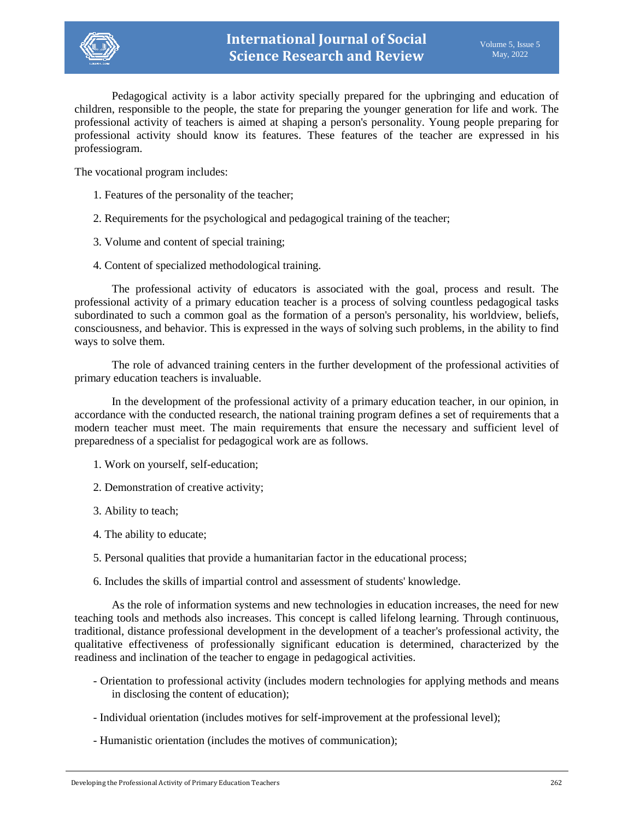

Pedagogical activity is a labor activity specially prepared for the upbringing and education of children, responsible to the people, the state for preparing the younger generation for life and work. The professional activity of teachers is aimed at shaping a person's personality. Young people preparing for professional activity should know its features. These features of the teacher are expressed in his professiogram.

The vocational program includes:

- 1. Features of the personality of the teacher;
- 2. Requirements for the psychological and pedagogical training of the teacher;
- 3. Volume and content of special training;
- 4. Content of specialized methodological training.

The professional activity of educators is associated with the goal, process and result. The professional activity of a primary education teacher is a process of solving countless pedagogical tasks subordinated to such a common goal as the formation of a person's personality, his worldview, beliefs, consciousness, and behavior. This is expressed in the ways of solving such problems, in the ability to find ways to solve them.

The role of advanced training centers in the further development of the professional activities of primary education teachers is invaluable.

In the development of the professional activity of a primary education teacher, in our opinion, in accordance with the conducted research, the national training program defines a set of requirements that a modern teacher must meet. The main requirements that ensure the necessary and sufficient level of preparedness of a specialist for pedagogical work are as follows.

- 1. Work on yourself, self-education;
- 2. Demonstration of creative activity;
- 3. Ability to teach;
- 4. The ability to educate;
- 5. Personal qualities that provide a humanitarian factor in the educational process;
- 6. Includes the skills of impartial control and assessment of students' knowledge.

As the role of information systems and new technologies in education increases, the need for new teaching tools and methods also increases. This concept is called lifelong learning. Through continuous, traditional, distance professional development in the development of a teacher's professional activity, the qualitative effectiveness of professionally significant education is determined, characterized by the readiness and inclination of the teacher to engage in pedagogical activities.

- Orientation to professional activity (includes modern technologies for applying methods and means in disclosing the content of education);
- Individual orientation (includes motives for self-improvement at the professional level);
- Humanistic orientation (includes the motives of communication);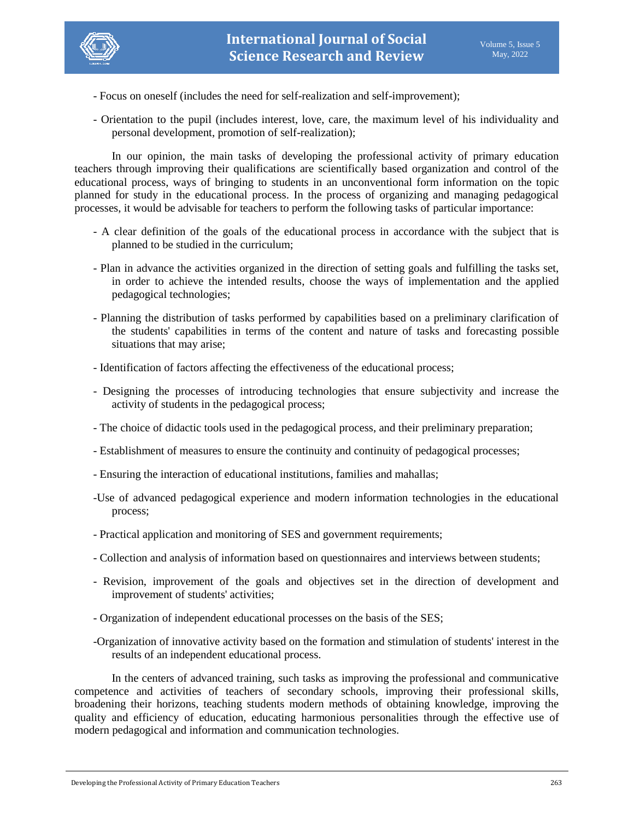

- Focus on oneself (includes the need for self-realization and self-improvement);
- Orientation to the pupil (includes interest, love, care, the maximum level of his individuality and personal development, promotion of self-realization);

In our opinion, the main tasks of developing the professional activity of primary education teachers through improving their qualifications are scientifically based organization and control of the educational process, ways of bringing to students in an unconventional form information on the topic planned for study in the educational process. In the process of organizing and managing pedagogical processes, it would be advisable for teachers to perform the following tasks of particular importance:

- A clear definition of the goals of the educational process in accordance with the subject that is planned to be studied in the curriculum;
- Plan in advance the activities organized in the direction of setting goals and fulfilling the tasks set, in order to achieve the intended results, choose the ways of implementation and the applied pedagogical technologies;
- Planning the distribution of tasks performed by capabilities based on a preliminary clarification of the students' capabilities in terms of the content and nature of tasks and forecasting possible situations that may arise;
- Identification of factors affecting the effectiveness of the educational process;
- Designing the processes of introducing technologies that ensure subjectivity and increase the activity of students in the pedagogical process;
- The choice of didactic tools used in the pedagogical process, and their preliminary preparation;
- Establishment of measures to ensure the continuity and continuity of pedagogical processes;
- Ensuring the interaction of educational institutions, families and mahallas;
- -Use of advanced pedagogical experience and modern information technologies in the educational process;
- Practical application and monitoring of SES and government requirements;
- Collection and analysis of information based on questionnaires and interviews between students;
- Revision, improvement of the goals and objectives set in the direction of development and improvement of students' activities;
- Organization of independent educational processes on the basis of the SES;
- -Organization of innovative activity based on the formation and stimulation of students' interest in the results of an independent educational process.

In the centers of advanced training, such tasks as improving the professional and communicative competence and activities of teachers of secondary schools, improving their professional skills, broadening their horizons, teaching students modern methods of obtaining knowledge, improving the quality and efficiency of education, educating harmonious personalities through the effective use of modern pedagogical and information and communication technologies.